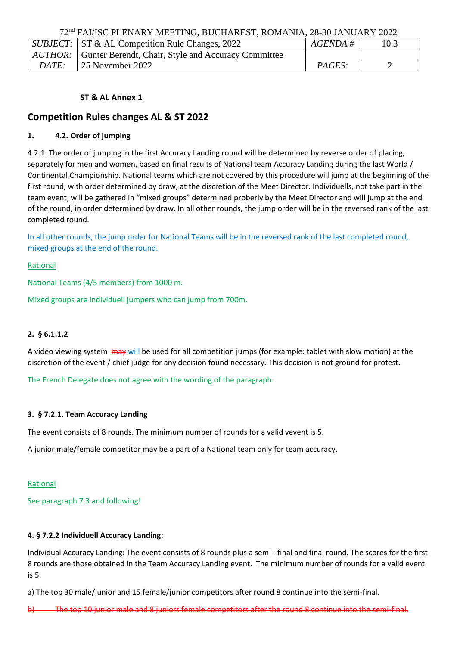72nd FAI/ISC PLENARY MEETING, BUCHAREST, ROMANIA, 28-30 JANUARY 2022

|              | SUBJECT: ST & AL Competition Rule Changes, 2022             | $AGENDA \#$   | 10.3 |  |
|--------------|-------------------------------------------------------------|---------------|------|--|
|              | AUTHOR: Gunter Berendt, Chair, Style and Accuracy Committee |               |      |  |
| <i>DATE:</i> | $\pm 25$ November 2022                                      | <i>PAGES:</i> |      |  |

# **ST & AL Annex 1**

# **Competition Rules changes AL & ST 2022**

# **1. 4.2. Order of jumping**

4.2.1. The order of jumping in the first Accuracy Landing round will be determined by reverse order of placing, separately for men and women, based on final results of National team Accuracy Landing during the last World / Continental Championship. National teams which are not covered by this procedure will jump at the beginning of the first round, with order determined by draw, at the discretion of the Meet Director. Individuells, not take part in the team event, will be gathered in "mixed groups" determined proberly by the Meet Director and will jump at the end of the round, in order determined by draw. In all other rounds, the jump order will be in the reversed rank of the last completed round.

In all other rounds, the jump order for National Teams will be in the reversed rank of the last completed round, mixed groups at the end of the round.

### Rational

National Teams (4/5 members) from 1000 m.

Mixed groups are individuell jumpers who can jump from 700m.

# **2. § 6.1.1.2**

A video viewing system  $\frac{1}{2}$  may will be used for all competition jumps (for example: tablet with slow motion) at the discretion of the event / chief judge for any decision found necessary. This decision is not ground for protest.

The French Delegate does not agree with the wording of the paragraph.

# **3. § 7.2.1. Team Accuracy Landing**

The event consists of 8 rounds. The minimum number of rounds for a valid vevent is 5.

A junior male/female competitor may be a part of a National team only for team accuracy.

#### Rational

See paragraph 7.3 and following!

# **4. § 7.2.2 Individuell Accuracy Landing:**

Individual Accuracy Landing: The event consists of 8 rounds plus a semi - final and final round. The scores for the first 8 rounds are those obtained in the Team Accuracy Landing event. The minimum number of rounds for a valid event is 5.

a) The top 30 male/junior and 15 female/junior competitors after round 8 continue into the semi-final.

b) The top 10 junior male and 8 juniors female competitors after the round 8 continue into the semi-final.